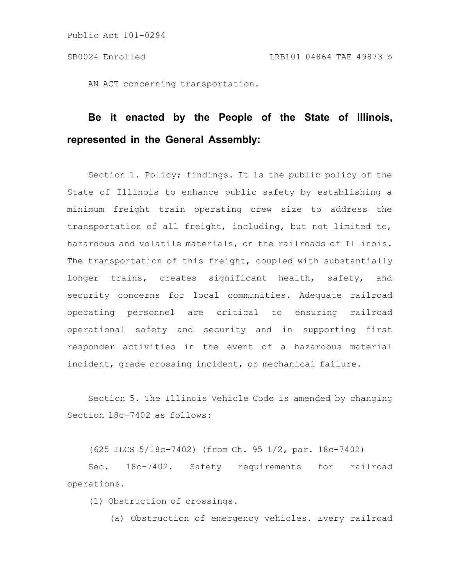AN ACT concerning transportation.

# **Be it enacted by the People of the State of Illinois, represented in the General Assembly:**

Section 1. Policy; findings. It is the public policy of the State of Illinois to enhance public safety by establishing a minimum freight train operating crew size to address the transportation of all freight, including, but not limited to, hazardous and volatile materials, on the railroads of Illinois. The transportation of this freight, coupled with substantially longer trains, creates significant health, safety, and security concerns for local communities. Adequate railroad operating personnel are critical to ensuring railroad operational safety and security and in supporting first responder activities in the event of a hazardous material incident, grade crossing incident, or mechanical failure.

Section 5. The Illinois Vehicle Code is amended by changing Section 18c-7402 as follows:

(625 ILCS 5/18c-7402) (from Ch. 95 1/2, par. 18c-7402)

Sec. 18c-7402. Safety requirements for railroad operations.

(1) Obstruction of crossings.

(a) Obstruction of emergency vehicles. Every railroad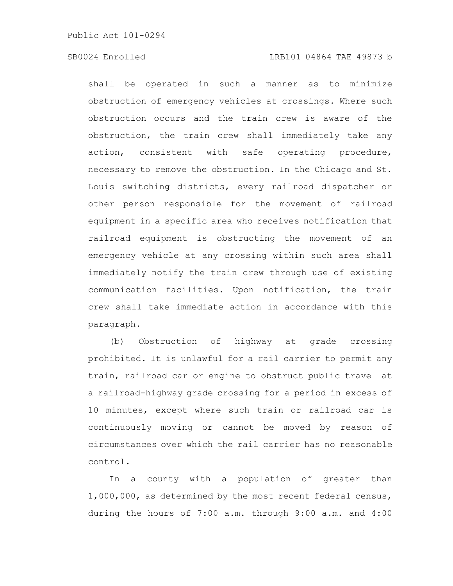## SB0024 Enrolled LRB101 04864 TAE 49873 b

shall be operated in such a manner as to minimize obstruction of emergency vehicles at crossings. Where such obstruction occurs and the train crew is aware of the obstruction, the train crew shall immediately take any action, consistent with safe operating procedure, necessary to remove the obstruction. In the Chicago and St. Louis switching districts, every railroad dispatcher or other person responsible for the movement of railroad equipment in a specific area who receives notification that railroad equipment is obstructing the movement of an emergency vehicle at any crossing within such area shall immediately notify the train crew through use of existing communication facilities. Upon notification, the train crew shall take immediate action in accordance with this paragraph.

(b) Obstruction of highway at grade crossing prohibited. It is unlawful for a rail carrier to permit any train, railroad car or engine to obstruct public travel at a railroad-highway grade crossing for a period in excess of 10 minutes, except where such train or railroad car is continuously moving or cannot be moved by reason of circumstances over which the rail carrier has no reasonable control.

In a county with a population of greater than 1,000,000, as determined by the most recent federal census, during the hours of 7:00 a.m. through 9:00 a.m. and 4:00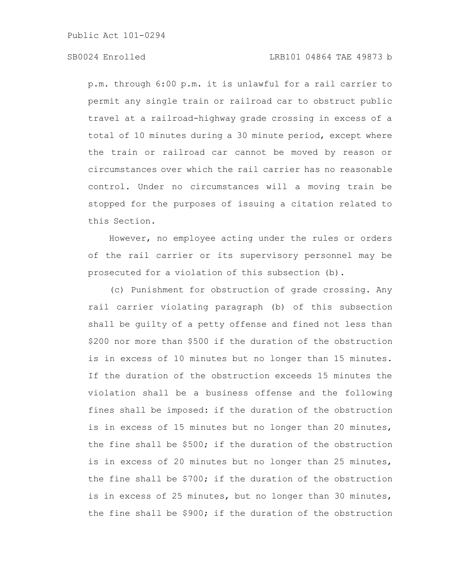Public Act 101-0294

## SB0024 Enrolled LRB101 04864 TAE 49873 b

p.m. through 6:00 p.m. it is unlawful for a rail carrier to permit any single train or railroad car to obstruct public travel at a railroad-highway grade crossing in excess of a total of 10 minutes during a 30 minute period, except where the train or railroad car cannot be moved by reason or circumstances over which the rail carrier has no reasonable control. Under no circumstances will a moving train be stopped for the purposes of issuing a citation related to this Section.

However, no employee acting under the rules or orders of the rail carrier or its supervisory personnel may be prosecuted for a violation of this subsection (b).

(c) Punishment for obstruction of grade crossing. Any rail carrier violating paragraph (b) of this subsection shall be guilty of a petty offense and fined not less than \$200 nor more than \$500 if the duration of the obstruction is in excess of 10 minutes but no longer than 15 minutes. If the duration of the obstruction exceeds 15 minutes the violation shall be a business offense and the following fines shall be imposed: if the duration of the obstruction is in excess of 15 minutes but no longer than 20 minutes, the fine shall be \$500; if the duration of the obstruction is in excess of 20 minutes but no longer than 25 minutes, the fine shall be \$700; if the duration of the obstruction is in excess of 25 minutes, but no longer than 30 minutes, the fine shall be \$900; if the duration of the obstruction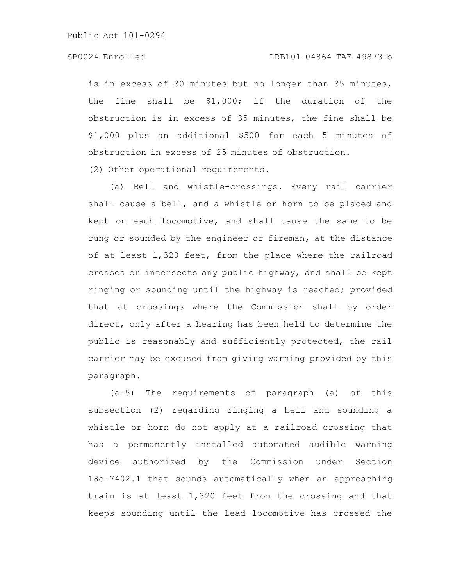Public Act 101-0294

## SB0024 Enrolled LRB101 04864 TAE 49873 b

is in excess of 30 minutes but no longer than 35 minutes, the fine shall be \$1,000; if the duration of the obstruction is in excess of 35 minutes, the fine shall be \$1,000 plus an additional \$500 for each 5 minutes of obstruction in excess of 25 minutes of obstruction.

(2) Other operational requirements.

(a) Bell and whistle-crossings. Every rail carrier shall cause a bell, and a whistle or horn to be placed and kept on each locomotive, and shall cause the same to be rung or sounded by the engineer or fireman, at the distance of at least 1,320 feet, from the place where the railroad crosses or intersects any public highway, and shall be kept ringing or sounding until the highway is reached; provided that at crossings where the Commission shall by order direct, only after a hearing has been held to determine the public is reasonably and sufficiently protected, the rail carrier may be excused from giving warning provided by this paragraph.

(a-5) The requirements of paragraph (a) of this subsection (2) regarding ringing a bell and sounding a whistle or horn do not apply at a railroad crossing that has a permanently installed automated audible warning device authorized by the Commission under Section 18c-7402.1 that sounds automatically when an approaching train is at least 1,320 feet from the crossing and that keeps sounding until the lead locomotive has crossed the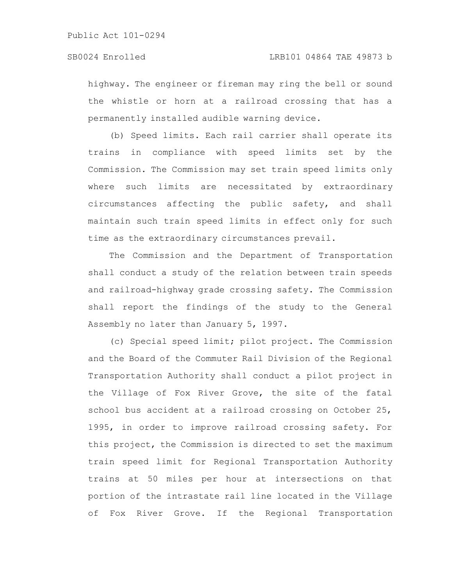highway. The engineer or fireman may ring the bell or sound the whistle or horn at a railroad crossing that has a permanently installed audible warning device.

(b) Speed limits. Each rail carrier shall operate its trains in compliance with speed limits set by the Commission. The Commission may set train speed limits only where such limits are necessitated by extraordinary circumstances affecting the public safety, and shall maintain such train speed limits in effect only for such time as the extraordinary circumstances prevail.

The Commission and the Department of Transportation shall conduct a study of the relation between train speeds and railroad-highway grade crossing safety. The Commission shall report the findings of the study to the General Assembly no later than January 5, 1997.

(c) Special speed limit; pilot project. The Commission and the Board of the Commuter Rail Division of the Regional Transportation Authority shall conduct a pilot project in the Village of Fox River Grove, the site of the fatal school bus accident at a railroad crossing on October 25, 1995, in order to improve railroad crossing safety. For this project, the Commission is directed to set the maximum train speed limit for Regional Transportation Authority trains at 50 miles per hour at intersections on that portion of the intrastate rail line located in the Village of Fox River Grove. If the Regional Transportation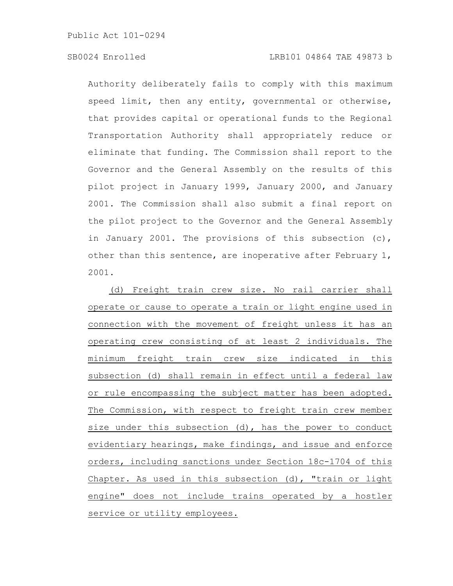Public Act 101-0294

Authority deliberately fails to comply with this maximum speed limit, then any entity, governmental or otherwise, that provides capital or operational funds to the Regional Transportation Authority shall appropriately reduce or eliminate that funding. The Commission shall report to the Governor and the General Assembly on the results of this pilot project in January 1999, January 2000, and January 2001. The Commission shall also submit a final report on the pilot project to the Governor and the General Assembly in January 2001. The provisions of this subsection (c), other than this sentence, are inoperative after February 1, 2001.

(d) Freight train crew size. No rail carrier shall operate or cause to operate a train or light engine used in connection with the movement of freight unless it has an operating crew consisting of at least 2 individuals. The minimum freight train crew size indicated in this subsection (d) shall remain in effect until a federal law or rule encompassing the subject matter has been adopted. The Commission, with respect to freight train crew member size under this subsection (d), has the power to conduct evidentiary hearings, make findings, and issue and enforce orders, including sanctions under Section 18c-1704 of this Chapter. As used in this subsection (d), "train or light engine" does not include trains operated by a hostler service or utility employees.